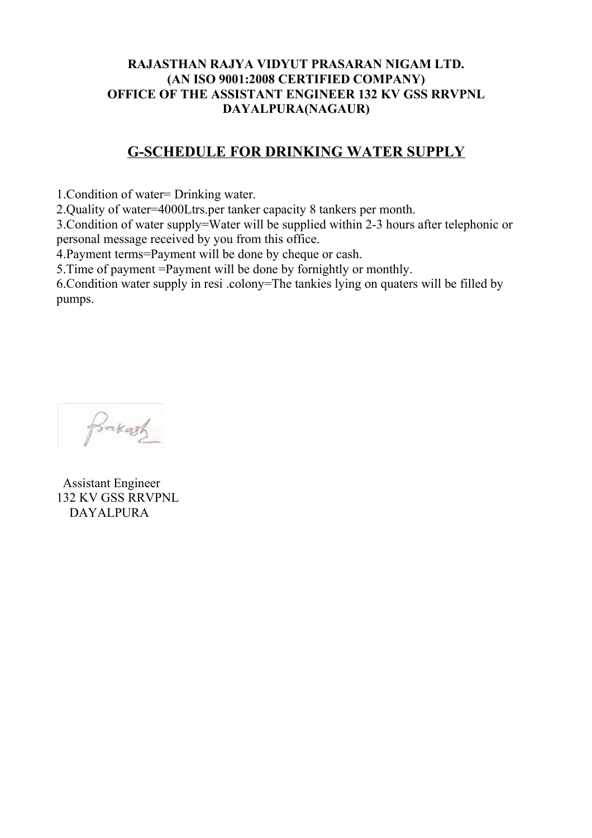## **RAJASTHAN RAJYA VIDYUT PRASARAN NIGAM LTD. (AN ISO 9001:2008 CERTIFIED COMPANY) OFFICE OF THE ASSISTANT ENGINEER 132 KV GSS RRVPNL DAYALPURA(NAGAUR)**

## **G-SCHEDULE FOR DRINKING WATER SUPPLY**

1.Condition of water= Drinking water.

2.Quality of water=4000Ltrs.per tanker capacity 8 tankers per month.

3.Condition of water supply=Water will be supplied within 2-3 hours after telephonic or personal message received by you from this office.

4.Payment terms=Payment will be done by cheque or cash.

5.Time of payment =Payment will be done by fornightly or monthly.

6.Condition water supply in resi .colony=The tankies lying on quaters will be filled by pumps.



 Assistant Engineer 132 KV GSS RRVPNL DAYALPURA